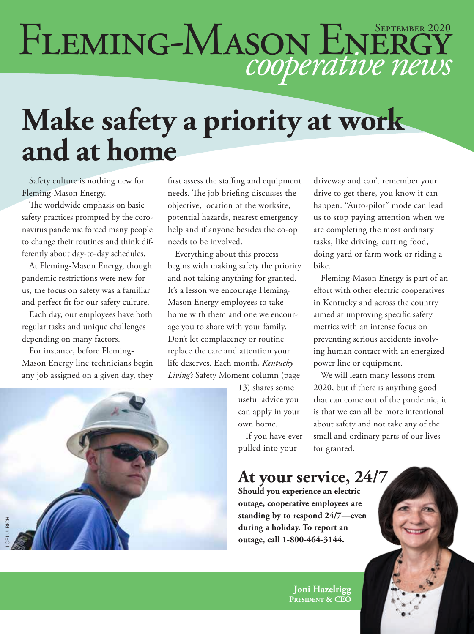## FLEMING-MASON ENERGY

## **Make safety a priority at work and at home**

Safety culture is nothing new for Fleming-Mason Energy.

The worldwide emphasis on basic safety practices prompted by the coronavirus pandemic forced many people to change their routines and think differently about day-to-day schedules.

At Fleming-Mason Energy, though pandemic restrictions were new for us, the focus on safety was a familiar and perfect fit for our safety culture.

Each day, our employees have both regular tasks and unique challenges depending on many factors.

For instance, before Fleming-Mason Energy line technicians begin any job assigned on a given day, they first assess the staffing and equipment needs. The job briefing discusses the objective, location of the worksite, potential hazards, nearest emergency help and if anyone besides the co-op needs to be involved.

Everything about this process begins with making safety the priority and not taking anything for granted. It's a lesson we encourage Fleming-Mason Energy employees to take home with them and one we encourage you to share with your family. Don't let complacency or routine replace the care and attention your life deserves. Each month, *Kentucky Living's* Safety Moment column (page

> 13) shares some useful advice you can apply in your own home.

If you have ever pulled into your

driveway and can't remember your drive to get there, you know it can happen. "Auto-pilot" mode can lead us to stop paying attention when we are completing the most ordinary tasks, like driving, cutting food, doing yard or farm work or riding a bike.

Fleming-Mason Energy is part of an effort with other electric cooperatives in Kentucky and across the country aimed at improving specific safety metrics with an intense focus on preventing serious accidents involving human contact with an energized power line or equipment.

We will learn many lessons from 2020, but if there is anything good that can come out of the pandemic, it is that we can all be more intentional about safety and not take any of the small and ordinary parts of our lives for granted.

**At your service, 24/7**

**Should you experience an electric outage, cooperative employees are standing by to respond 24/7—even during a holiday. To report an outage, call 1-800-464-3144.**

> **Joni Hazelrigg President & CEO**

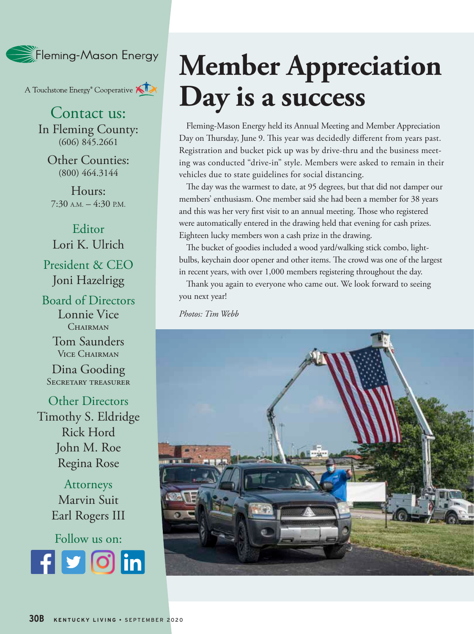**Seming-Mason Energy** 

A Touchstone Energy<sup>®</sup> Cooperative A

Contact us: In Fleming County:  $(606)$  845.2661

Other Counties: (800) 464.3144

Hours:  $7:30$  A.M.  $-4:30$  P.M.

Editor Lori K. Ulrich President & CEO Joni Hazelrigg

Board of Directors Lonnie Vice CHAIRMAN

> Tom Saunders Vice Chairman

Dina Gooding Secretary treasurer

Other Directors Timothy S. Eldridge Rick Hord John M. Roe Regina Rose

> Attorneys Marvin Suit Earl Rogers III

Follow us on: **Rounded square** Only use blue and/or white. For more details check out our Brand Guidelines.

## **Member Appreciation Day is a success**

Fleming-Mason Energy held its Annual Meeting and Member Appreciation Day on Thursday, June 9. This year was decidedly different from years past. Registration and bucket pick up was by drive-thru and the business meeting was conducted "drive-in" style. Members were asked to remain in their vehicles due to state guidelines for social distancing.

The day was the warmest to date, at 95 degrees, but that did not damper our members' enthusiasm. One member said she had been a member for 38 years and this was her very first visit to an annual meeting. Those who registered were automatically entered in the drawing held that evening for cash prizes. Eighteen lucky members won a cash prize in the drawing.

The bucket of goodies included a wood yard/walking stick combo, lightbulbs, keychain door opener and other items. The crowd was one of the largest in recent years, with over 1,000 members registering throughout the day.

Thank you again to everyone who came out. We look forward to seeing you next year!

*Photos: Tim Webb*

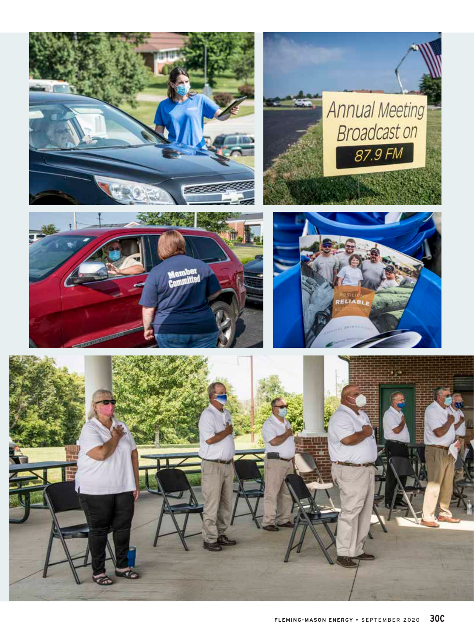